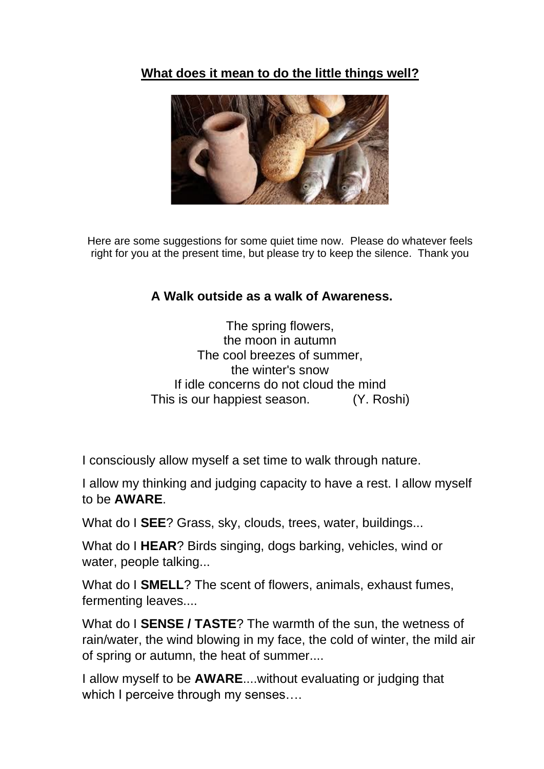## **What does it mean to do the little things well?**



Here are some suggestions for some quiet time now. Please do whatever feels right for you at the present time, but please try to keep the silence. Thank you

## **A Walk outside as a walk of Awareness.**

The spring flowers, the moon in autumn The cool breezes of summer, the winter's snow If idle concerns do not cloud the mind This is our happiest season. (Y. Roshi)

I consciously allow myself a set time to walk through nature.

I allow my thinking and judging capacity to have a rest. I allow myself to be **AWARE**.

What do I **SEE**? Grass, sky, clouds, trees, water, buildings...

What do I **HEAR**? Birds singing, dogs barking, vehicles, wind or water, people talking...

What do I **SMELL**? The scent of flowers, animals, exhaust fumes, fermenting leaves....

What do I **SENSE / TASTE**? The warmth of the sun, the wetness of rain/water, the wind blowing in my face, the cold of winter, the mild air of spring or autumn, the heat of summer....

I allow myself to be **AWARE**....without evaluating or judging that which I perceive through my senses....